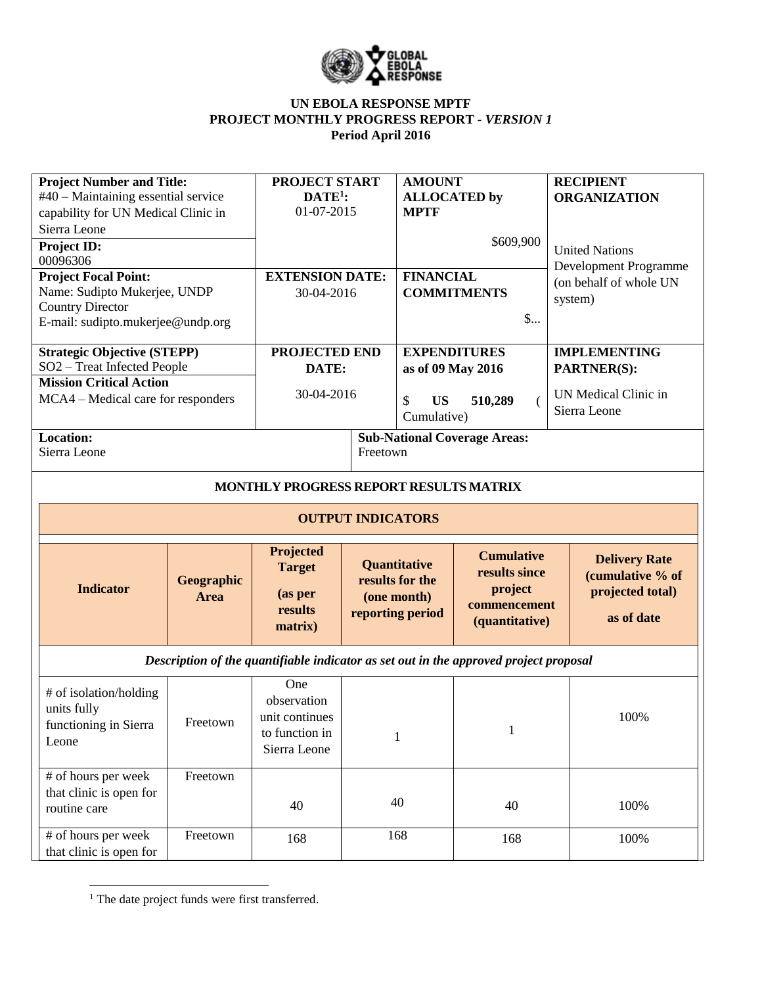

## **UN EBOLA RESPONSE MPTF PROJECT MONTHLY PROGRESS REPORT** *- VERSION 1* **Period April 2016**

| <b>Project Number and Title:</b><br>#40 – Maintaining essential service<br>capability for UN Medical Clinic in<br>Sierra Leone |                           | <b>PROJECT START</b><br>$DATE1$ :<br>01-07-2015                        |          | <b>AMOUNT</b><br><b>ALLOCATED</b> by<br><b>MPTF</b>                |                                                                                       | <b>RECIPIENT</b><br><b>ORGANIZATION</b><br><b>United Nations</b>           |  |
|--------------------------------------------------------------------------------------------------------------------------------|---------------------------|------------------------------------------------------------------------|----------|--------------------------------------------------------------------|---------------------------------------------------------------------------------------|----------------------------------------------------------------------------|--|
| Project ID:<br>00096306                                                                                                        |                           |                                                                        |          |                                                                    | \$609,900                                                                             |                                                                            |  |
| <b>Project Focal Point:</b><br>Name: Sudipto Mukerjee, UNDP                                                                    |                           | <b>EXTENSION DATE:</b>                                                 |          | <b>FINANCIAL</b>                                                   |                                                                                       | Development Programme<br>(on behalf of whole UN                            |  |
| <b>Country Director</b><br>E-mail: sudipto.mukerjee@undp.org                                                                   |                           | 30-04-2016                                                             |          |                                                                    | <b>COMMITMENTS</b><br>$\mathsf{S}$                                                    | system)                                                                    |  |
| <b>Strategic Objective (STEPP)</b>                                                                                             |                           | PROJECTED END                                                          |          | <b>EXPENDITURES</b>                                                |                                                                                       | <b>IMPLEMENTING</b>                                                        |  |
| SO2 - Treat Infected People<br><b>Mission Critical Action</b>                                                                  |                           | DATE:                                                                  |          | as of 09 May 2016                                                  |                                                                                       | <b>PARTNER(S):</b>                                                         |  |
| MCA4 – Medical care for responders                                                                                             |                           | 30-04-2016                                                             |          | \$<br><b>US</b><br>510,289<br>$\overline{ }$<br>Cumulative)        |                                                                                       | UN Medical Clinic in<br>Sierra Leone                                       |  |
| Location:<br>Sierra Leone                                                                                                      |                           |                                                                        | Freetown |                                                                    | <b>Sub-National Coverage Areas:</b>                                                   |                                                                            |  |
|                                                                                                                                |                           | MONTHLY PROGRESS REPORT RESULTS MATRIX                                 |          |                                                                    |                                                                                       |                                                                            |  |
|                                                                                                                                |                           | <b>OUTPUT INDICATORS</b>                                               |          |                                                                    |                                                                                       |                                                                            |  |
| <b>Indicator</b>                                                                                                               | <b>Geographic</b><br>Area | Projected<br><b>Target</b><br>(as per<br>results<br>matrix)            |          | Quantitative<br>results for the<br>(one month)<br>reporting period | <b>Cumulative</b><br>results since<br>project<br>commencement<br>(quantitative)       | <b>Delivery Rate</b><br>(cumulative % of<br>projected total)<br>as of date |  |
|                                                                                                                                |                           |                                                                        |          |                                                                    | Description of the quantifiable indicator as set out in the approved project proposal |                                                                            |  |
| # of isolation/holding<br>units fully<br>functioning in Sierra<br>Leone                                                        | Freetown                  | One<br>observation<br>unit continues<br>to function in<br>Sierra Leone |          | $\mathbf{1}$                                                       | $\mathbf{1}$                                                                          | 100%                                                                       |  |
| # of hours per week                                                                                                            | Freetown                  |                                                                        |          |                                                                    |                                                                                       |                                                                            |  |
| that clinic is open for<br>routine care                                                                                        |                           | 40                                                                     |          | 40                                                                 | 40                                                                                    | 100%                                                                       |  |
| # of hours per week<br>that clinic is open for                                                                                 | Freetown                  | 168                                                                    |          | 168                                                                | 168                                                                                   | 100%                                                                       |  |

 $\overline{a}$ <sup>1</sup> The date project funds were first transferred.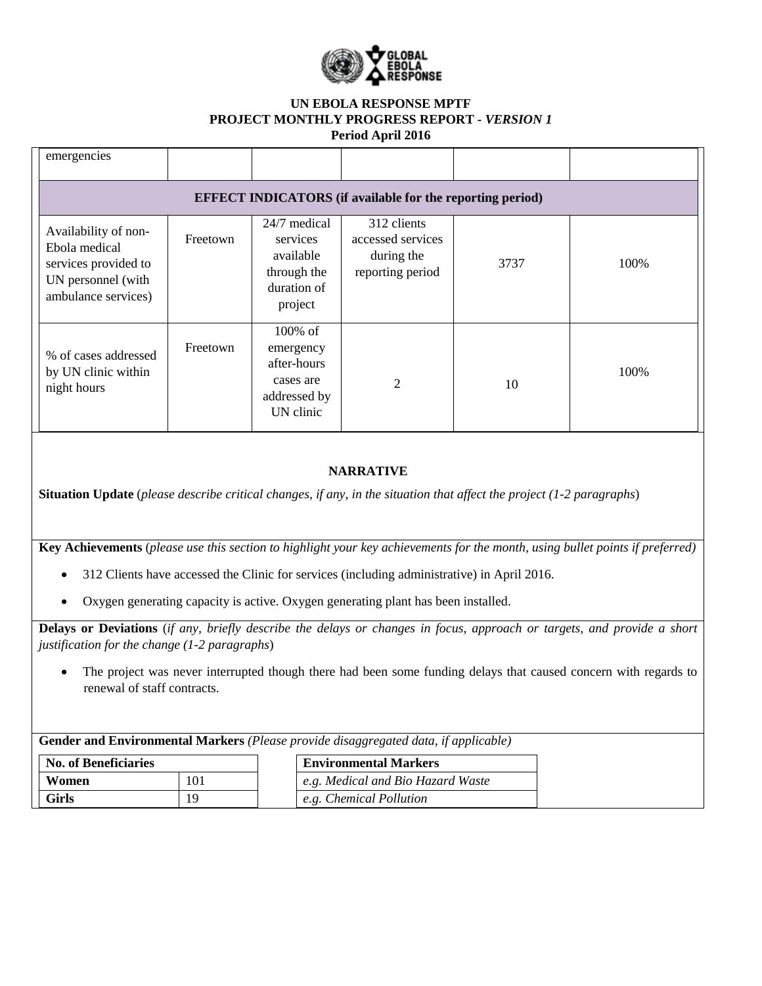

## **UN EBOLA RESPONSE MPTF PROJECT MONTHLY PROGRESS REPORT** *- VERSION 1* **Period April 2016**

| emergencies                                                                                                |          |                                                                                |                                                                    |      |      |  |  |  |  |
|------------------------------------------------------------------------------------------------------------|----------|--------------------------------------------------------------------------------|--------------------------------------------------------------------|------|------|--|--|--|--|
| <b>EFFECT INDICATORS</b> (if available for the reporting period)                                           |          |                                                                                |                                                                    |      |      |  |  |  |  |
| Availability of non-<br>Ebola medical<br>services provided to<br>UN personnel (with<br>ambulance services) | Freetown | 24/7 medical<br>services<br>available<br>through the<br>duration of<br>project | 312 clients<br>accessed services<br>during the<br>reporting period | 3737 | 100% |  |  |  |  |
| % of cases addressed<br>by UN clinic within<br>night hours                                                 | Freetown | 100% of<br>emergency<br>after-hours<br>cases are<br>addressed by<br>UN clinic  | $\overline{2}$                                                     | 10   | 100% |  |  |  |  |
|                                                                                                            |          |                                                                                | <b>NARRATIVE</b>                                                   |      |      |  |  |  |  |

**Situation Update** (*please describe critical changes, if any, in the situation that affect the project (1-2 paragraphs*)

**Key Achievements** (*please use this section to highlight your key achievements for the month, using bullet points if preferred)*

- 312 Clients have accessed the Clinic for services (including administrative) in April 2016.
- Oxygen generating capacity is active. Oxygen generating plant has been installed.

**Delays or Deviations** (*if any, briefly describe the delays or changes in focus, approach or targets, and provide a short justification for the change (1-2 paragraphs*)

• The project was never interrupted though there had been some funding delays that caused concern with regards to renewal of staff contracts.

**Gender and Environmental Markers** *(Please provide disaggregated data, if applicable)* **No. of Beneficiaries Environmental Markers Women** 101 *e.g. Medical and Bio Hazard Waste* Girls 19 19 *e.g. Chemical Pollution*